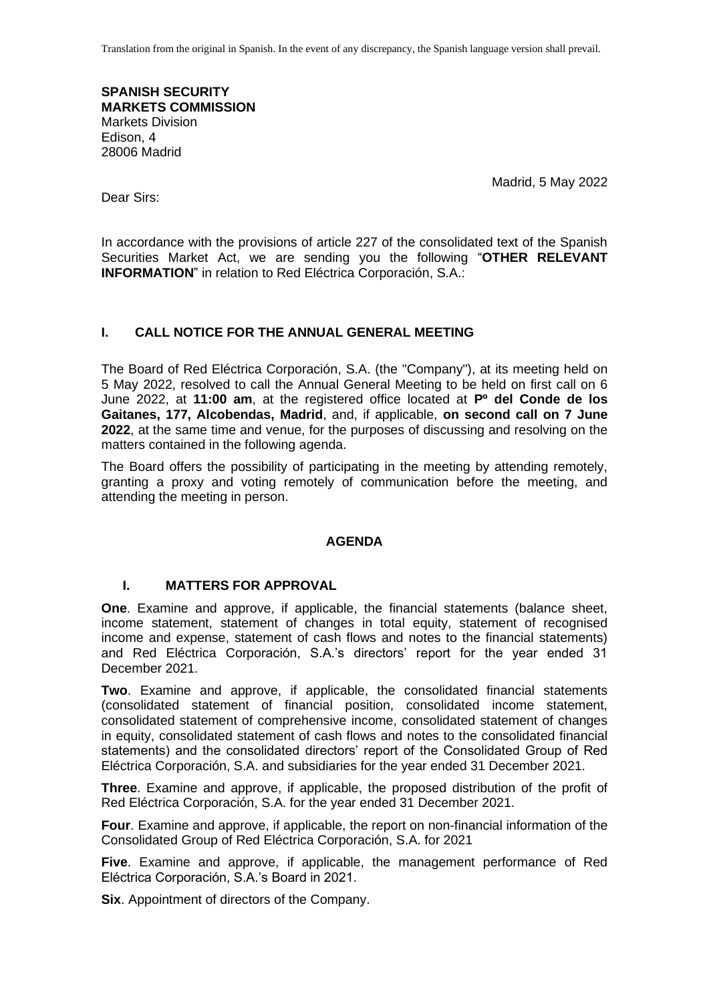Translation from the original in Spanish. In the event of any discrepancy, the Spanish language version shall prevail.

**SPANISH SECURITY MARKETS COMMISSION** Markets Division Edison, 4 28006 Madrid

Madrid, 5 May 2022

Dear Sirs:

In accordance with the provisions of article 227 of the consolidated text of the Spanish Securities Market Act, we are sending you the following "**OTHER RELEVANT INFORMATION**" in relation to Red Eléctrica Corporación, S.A.:

# **I. CALL NOTICE FOR THE ANNUAL GENERAL MEETING**

The Board of Red Eléctrica Corporación, S.A. (the "Company"), at its meeting held on 5 May 2022, resolved to call the Annual General Meeting to be held on first call on 6 June 2022, at **11:00 am**, at the registered office located at **Pº del Conde de los Gaitanes, 177, Alcobendas, Madrid**, and, if applicable, **on second call on 7 June 2022**, at the same time and venue, for the purposes of discussing and resolving on the matters contained in the following agenda.

The Board offers the possibility of participating in the meeting by attending remotely, granting a proxy and voting remotely of communication before the meeting, and attending the meeting in person.

## **AGENDA**

# **I. MATTERS FOR APPROVAL**

**One**. Examine and approve, if applicable, the financial statements (balance sheet, income statement, statement of changes in total equity, statement of recognised income and expense, statement of cash flows and notes to the financial statements) and Red Eléctrica Corporación, S.A.'s directors' report for the year ended 31 December 2021.

**Two**. Examine and approve, if applicable, the consolidated financial statements (consolidated statement of financial position, consolidated income statement, consolidated statement of comprehensive income, consolidated statement of changes in equity, consolidated statement of cash flows and notes to the consolidated financial statements) and the consolidated directors' report of the Consolidated Group of Red Eléctrica Corporación, S.A. and subsidiaries for the year ended 31 December 2021.

**Three**. Examine and approve, if applicable, the proposed distribution of the profit of Red Eléctrica Corporación, S.A. for the year ended 31 December 2021.

**Four**. Examine and approve, if applicable, the report on non-financial information of the Consolidated Group of Red Eléctrica Corporación, S.A. for 2021

**Five**. Examine and approve, if applicable, the management performance of Red Eléctrica Corporación, S.A.'s Board in 2021.

**Six**. Appointment of directors of the Company.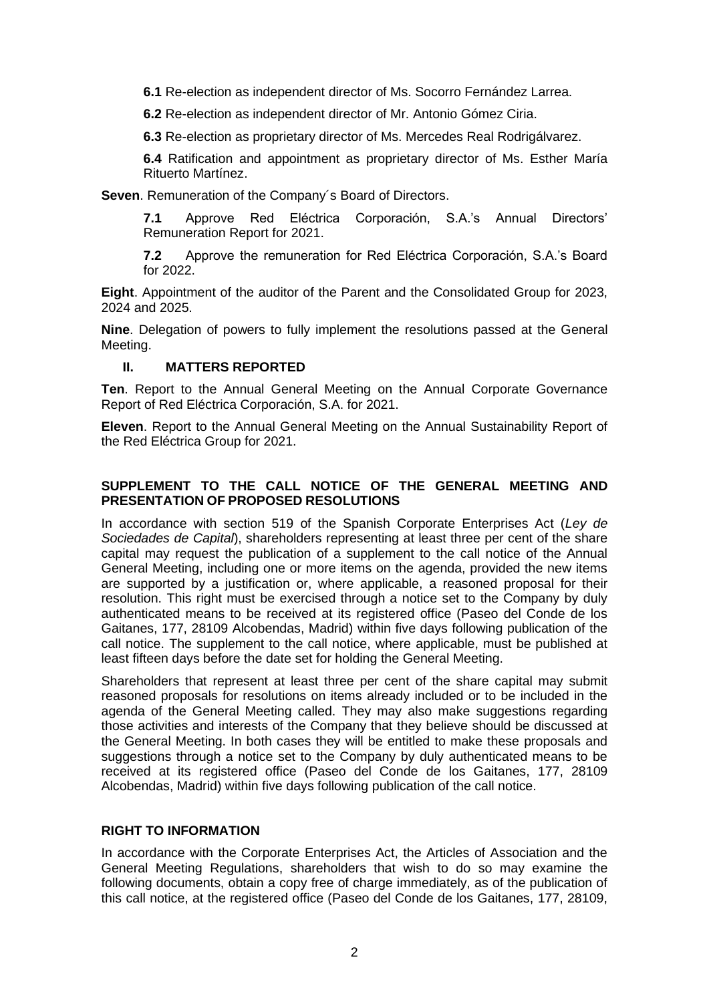**6.1** Re-election as independent director of Ms. Socorro Fernández Larrea.

**6.2** Re-election as independent director of Mr. Antonio Gómez Ciria.

**6.3** Re-election as proprietary director of Ms. Mercedes Real Rodrigálvarez.

**6.4** Ratification and appointment as proprietary director of Ms. Esther María Rituerto Martínez.

**Seven**. Remuneration of the Company´s Board of Directors.

**7.1** Approve Red Eléctrica Corporación, S.A.'s Annual Directors' Remuneration Report for 2021.

**7.2** Approve the remuneration for Red Eléctrica Corporación, S.A.'s Board for 2022.

**Eight**. Appointment of the auditor of the Parent and the Consolidated Group for 2023, 2024 and 2025.

**Nine**. Delegation of powers to fully implement the resolutions passed at the General Meeting.

## **II. MATTERS REPORTED**

**Ten**. Report to the Annual General Meeting on the Annual Corporate Governance Report of Red Eléctrica Corporación, S.A. for 2021.

**Eleven**. Report to the Annual General Meeting on the Annual Sustainability Report of the Red Eléctrica Group for 2021.

## **SUPPLEMENT TO THE CALL NOTICE OF THE GENERAL MEETING AND PRESENTATION OF PROPOSED RESOLUTIONS**

In accordance with section 519 of the Spanish Corporate Enterprises Act (*Ley de Sociedades de Capital*), shareholders representing at least three per cent of the share capital may request the publication of a supplement to the call notice of the Annual General Meeting, including one or more items on the agenda, provided the new items are supported by a justification or, where applicable, a reasoned proposal for their resolution. This right must be exercised through a notice set to the Company by duly authenticated means to be received at its registered office (Paseo del Conde de los Gaitanes, 177, 28109 Alcobendas, Madrid) within five days following publication of the call notice. The supplement to the call notice, where applicable, must be published at least fifteen days before the date set for holding the General Meeting.

Shareholders that represent at least three per cent of the share capital may submit reasoned proposals for resolutions on items already included or to be included in the agenda of the General Meeting called. They may also make suggestions regarding those activities and interests of the Company that they believe should be discussed at the General Meeting. In both cases they will be entitled to make these proposals and suggestions through a notice set to the Company by duly authenticated means to be received at its registered office (Paseo del Conde de los Gaitanes, 177, 28109 Alcobendas, Madrid) within five days following publication of the call notice.

## **RIGHT TO INFORMATION**

In accordance with the Corporate Enterprises Act, the Articles of Association and the General Meeting Regulations, shareholders that wish to do so may examine the following documents, obtain a copy free of charge immediately, as of the publication of this call notice, at the registered office (Paseo del Conde de los Gaitanes, 177, 28109,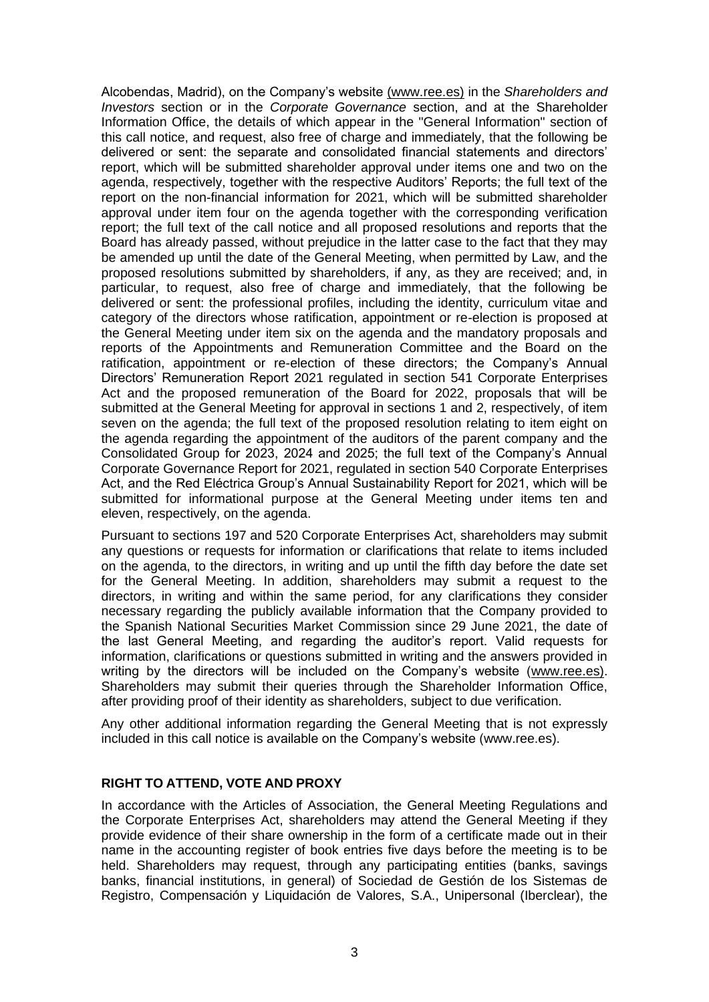Alcobendas, Madrid), on the Company's website [\(www.ree.es\)](http://www.ree.es/) in the *Shareholders and Investors* section or in the *Corporate Governance* section, and at the Shareholder Information Office, the details of which appear in the "General Information" section of this call notice, and request, also free of charge and immediately, that the following be delivered or sent: the separate and consolidated financial statements and directors' report, which will be submitted shareholder approval under items one and two on the agenda, respectively, together with the respective Auditors' Reports; the full text of the report on the non-financial information for 2021, which will be submitted shareholder approval under item four on the agenda together with the corresponding verification report; the full text of the call notice and all proposed resolutions and reports that the Board has already passed, without prejudice in the latter case to the fact that they may be amended up until the date of the General Meeting, when permitted by Law, and the proposed resolutions submitted by shareholders, if any, as they are received; and, in particular, to request, also free of charge and immediately, that the following be delivered or sent: the professional profiles, including the identity, curriculum vitae and category of the directors whose ratification, appointment or re-election is proposed at the General Meeting under item six on the agenda and the mandatory proposals and reports of the Appointments and Remuneration Committee and the Board on the ratification, appointment or re-election of these directors; the Company's Annual Directors' Remuneration Report 2021 regulated in section 541 Corporate Enterprises Act and the proposed remuneration of the Board for 2022, proposals that will be submitted at the General Meeting for approval in sections 1 and 2, respectively, of item seven on the agenda; the full text of the proposed resolution relating to item eight on the agenda regarding the appointment of the auditors of the parent company and the Consolidated Group for 2023, 2024 and 2025; the full text of the Company's Annual Corporate Governance Report for 2021, regulated in section 540 Corporate Enterprises Act, and the Red Eléctrica Group's Annual Sustainability Report for 2021, which will be submitted for informational purpose at the General Meeting under items ten and eleven, respectively, on the agenda.

Pursuant to sections 197 and 520 Corporate Enterprises Act, shareholders may submit any questions or requests for information or clarifications that relate to items included on the agenda, to the directors, in writing and up until the fifth day before the date set for the General Meeting. In addition, shareholders may submit a request to the directors, in writing and within the same period, for any clarifications they consider necessary regarding the publicly available information that the Company provided to the Spanish National Securities Market Commission since 29 June 2021, the date of the last General Meeting, and regarding the auditor's report. Valid requests for information, clarifications or questions submitted in writing and the answers provided in writing by the directors will be included on the Company's website [\(www.ree.es\)](http://www.ree.es/). Shareholders may submit their queries through the Shareholder Information Office, after providing proof of their identity as shareholders, subject to due verification.

Any other additional information regarding the General Meeting that is not expressly included in this call notice is available on the Company's website [\(www.ree.es\)](http://www.ree.es/).

#### **RIGHT TO ATTEND, VOTE AND PROXY**

In accordance with the Articles of Association, the General Meeting Regulations and the Corporate Enterprises Act, shareholders may attend the General Meeting if they provide evidence of their share ownership in the form of a certificate made out in their name in the accounting register of book entries five days before the meeting is to be held. Shareholders may request, through any participating entities (banks, savings banks, financial institutions, in general) of Sociedad de Gestión de los Sistemas de Registro, Compensación y Liquidación de Valores, S.A., Unipersonal (Iberclear), the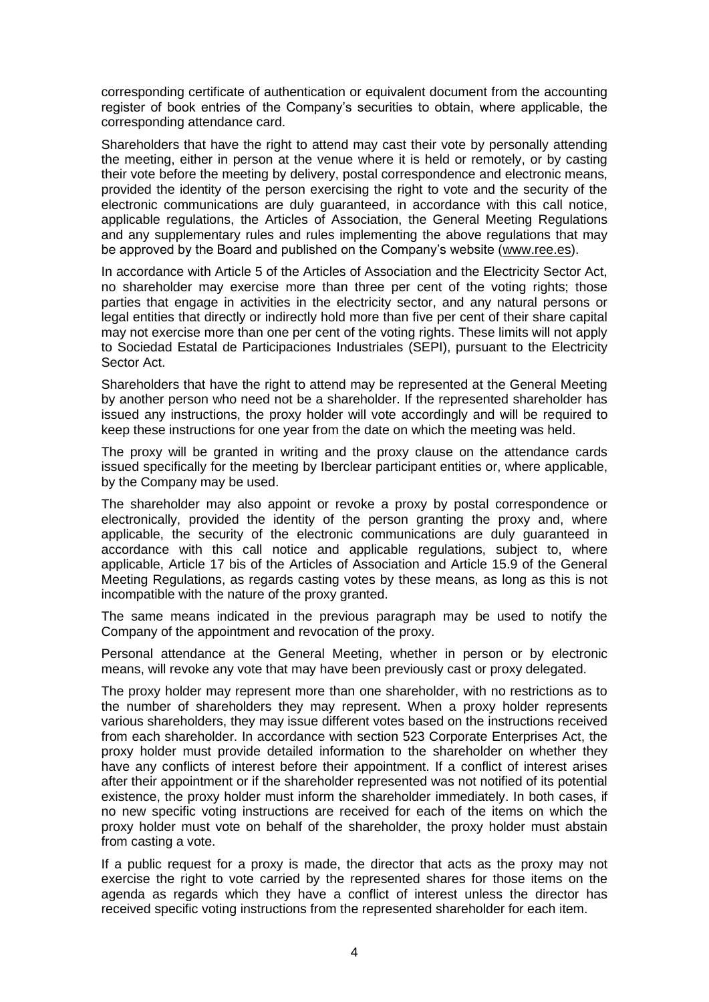corresponding certificate of authentication or equivalent document from the accounting register of book entries of the Company's securities to obtain, where applicable, the corresponding attendance card.

Shareholders that have the right to attend may cast their vote by personally attending the meeting, either in person at the venue where it is held or remotely, or by casting their vote before the meeting by delivery, postal correspondence and electronic means, provided the identity of the person exercising the right to vote and the security of the electronic communications are duly guaranteed, in accordance with this call notice, applicable regulations, the Articles of Association, the General Meeting Regulations and any supplementary rules and rules implementing the above regulations that may be approved by the Board and published on the Company's website [\(www.ree.es\)](http://www.ree.es/).

In accordance with Article 5 of the Articles of Association and the Electricity Sector Act, no shareholder may exercise more than three per cent of the voting rights; those parties that engage in activities in the electricity sector, and any natural persons or legal entities that directly or indirectly hold more than five per cent of their share capital may not exercise more than one per cent of the voting rights. These limits will not apply to Sociedad Estatal de Participaciones Industriales (SEPI), pursuant to the Electricity Sector Act.

Shareholders that have the right to attend may be represented at the General Meeting by another person who need not be a shareholder. If the represented shareholder has issued any instructions, the proxy holder will vote accordingly and will be required to keep these instructions for one year from the date on which the meeting was held.

The proxy will be granted in writing and the proxy clause on the attendance cards issued specifically for the meeting by Iberclear participant entities or, where applicable, by the Company may be used.

The shareholder may also appoint or revoke a proxy by postal correspondence or electronically, provided the identity of the person granting the proxy and, where applicable, the security of the electronic communications are duly guaranteed in accordance with this call notice and applicable regulations, subject to, where applicable, Article 17 bis of the Articles of Association and Article 15.9 of the General Meeting Regulations, as regards casting votes by these means, as long as this is not incompatible with the nature of the proxy granted.

The same means indicated in the previous paragraph may be used to notify the Company of the appointment and revocation of the proxy.

Personal attendance at the General Meeting, whether in person or by electronic means, will revoke any vote that may have been previously cast or proxy delegated.

The proxy holder may represent more than one shareholder, with no restrictions as to the number of shareholders they may represent. When a proxy holder represents various shareholders, they may issue different votes based on the instructions received from each shareholder. In accordance with section 523 Corporate Enterprises Act, the proxy holder must provide detailed information to the shareholder on whether they have any conflicts of interest before their appointment. If a conflict of interest arises after their appointment or if the shareholder represented was not notified of its potential existence, the proxy holder must inform the shareholder immediately. In both cases, if no new specific voting instructions are received for each of the items on which the proxy holder must vote on behalf of the shareholder, the proxy holder must abstain from casting a vote.

If a public request for a proxy is made, the director that acts as the proxy may not exercise the right to vote carried by the represented shares for those items on the agenda as regards which they have a conflict of interest unless the director has received specific voting instructions from the represented shareholder for each item.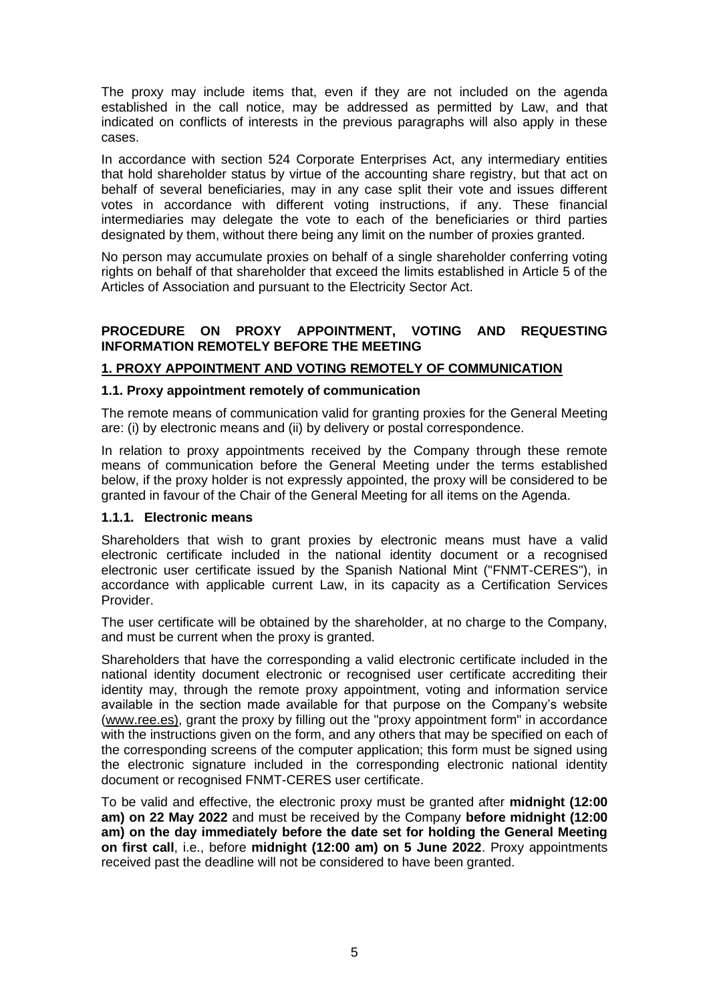The proxy may include items that, even if they are not included on the agenda established in the call notice, may be addressed as permitted by Law, and that indicated on conflicts of interests in the previous paragraphs will also apply in these cases.

In accordance with section 524 Corporate Enterprises Act, any intermediary entities that hold shareholder status by virtue of the accounting share registry, but that act on behalf of several beneficiaries, may in any case split their vote and issues different votes in accordance with different voting instructions, if any. These financial intermediaries may delegate the vote to each of the beneficiaries or third parties designated by them, without there being any limit on the number of proxies granted.

No person may accumulate proxies on behalf of a single shareholder conferring voting rights on behalf of that shareholder that exceed the limits established in Article 5 of the Articles of Association and pursuant to the Electricity Sector Act.

# **PROCEDURE ON PROXY APPOINTMENT, VOTING AND REQUESTING INFORMATION REMOTELY BEFORE THE MEETING**

# **1. PROXY APPOINTMENT AND VOTING REMOTELY OF COMMUNICATION**

#### **1.1. Proxy appointment remotely of communication**

The remote means of communication valid for granting proxies for the General Meeting are: (i) by electronic means and (ii) by delivery or postal correspondence.

In relation to proxy appointments received by the Company through these remote means of communication before the General Meeting under the terms established below, if the proxy holder is not expressly appointed, the proxy will be considered to be granted in favour of the Chair of the General Meeting for all items on the Agenda.

## **1.1.1. Electronic means**

Shareholders that wish to grant proxies by electronic means must have a valid electronic certificate included in the national identity document or a recognised electronic user certificate issued by the Spanish National Mint ("FNMT-CERES"), in accordance with applicable current Law, in its capacity as a Certification Services Provider.

The user certificate will be obtained by the shareholder, at no charge to the Company, and must be current when the proxy is granted.

Shareholders that have the corresponding a valid electronic certificate included in the national identity document electronic or recognised user certificate accrediting their identity may, through the remote proxy appointment, voting and information service available in the section made available for that purpose on the Company's website [\(www.ree.es\)](http://www.ree.es/), grant the proxy by filling out the "proxy appointment form" in accordance with the instructions given on the form, and any others that may be specified on each of the corresponding screens of the computer application; this form must be signed using the electronic signature included in the corresponding electronic national identity document or recognised FNMT-CERES user certificate.

To be valid and effective, the electronic proxy must be granted after **midnight (12:00 am) on 22 May 2022** and must be received by the Company **before midnight (12:00 am) on the day immediately before the date set for holding the General Meeting on first call**, i.e., before **midnight (12:00 am) on 5 June 2022**. Proxy appointments received past the deadline will not be considered to have been granted.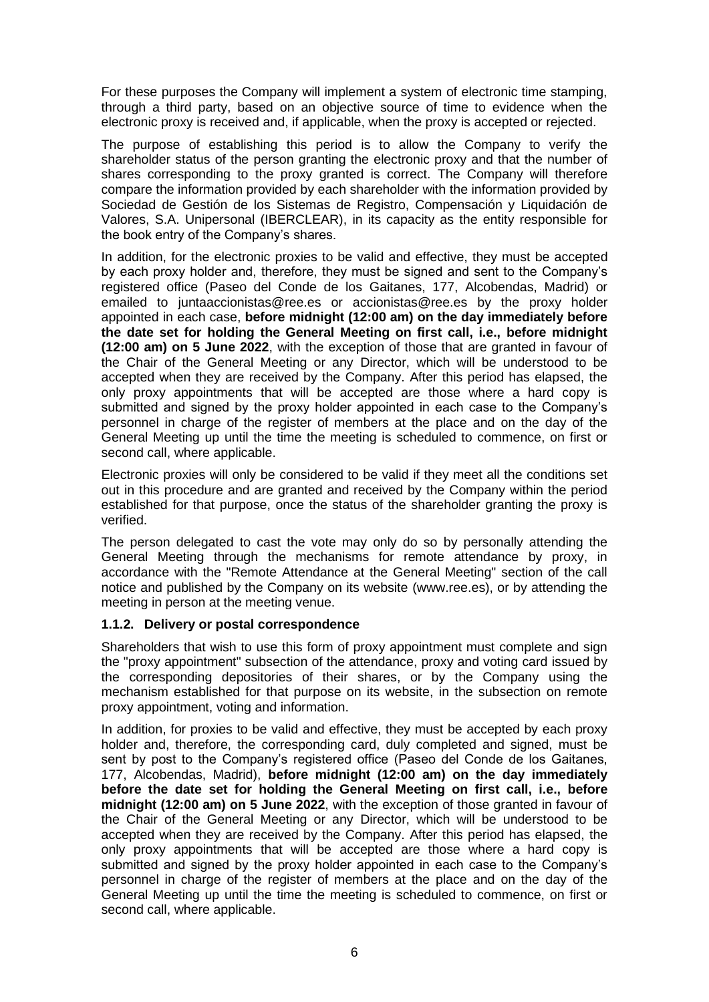For these purposes the Company will implement a system of electronic time stamping, through a third party, based on an objective source of time to evidence when the electronic proxy is received and, if applicable, when the proxy is accepted or rejected.

The purpose of establishing this period is to allow the Company to verify the shareholder status of the person granting the electronic proxy and that the number of shares corresponding to the proxy granted is correct. The Company will therefore compare the information provided by each shareholder with the information provided by Sociedad de Gestión de los Sistemas de Registro, Compensación y Liquidación de Valores, S.A. Unipersonal (IBERCLEAR), in its capacity as the entity responsible for the book entry of the Company's shares.

In addition, for the electronic proxies to be valid and effective, they must be accepted by each proxy holder and, therefore, they must be signed and sent to the Company's registered office (Paseo del Conde de los Gaitanes, 177, Alcobendas, Madrid) or emailed to [juntaaccionistas@ree.es](mailto:juntaaccionistas@ree.es) or accionistas@ree.es by the proxy holder appointed in each case, **[before midnight \(12:00 am\) on the day immediately before](mailto:juntaaccionistas@ree.es)  [the date set for holding the General Meeting on first call, i.e., before midnight](mailto:juntaaccionistas@ree.es)  [\(12:00 am\) on](mailto:juntaaccionistas@ree.es) 5 June 2022**, with the exception of those that are granted in favour of the Chair of the General Meeting or any Director, which will be understood to be accepted when they are received by the Company. After this period has elapsed, the only proxy appointments that will be accepted are those where a hard copy is submitted and signed by the proxy holder appointed in each case to the Company's personnel in charge of the register of members at the place and on the day of the General Meeting up until the time the meeting is scheduled to commence, on first or second call, where applicable.

Electronic proxies will only be considered to be valid if they meet all the conditions set out in this procedure and are granted and received by the Company within the period established for that purpose, once the status of the shareholder granting the proxy is verified.

The person delegated to cast the vote may only do so by personally attending the General Meeting through the mechanisms for remote attendance by proxy, in accordance with the "Remote Attendance at the General Meeting" section of the call notice and published by the Company on its website [\(w](http://www.ree.es/)ww.ree.es), or by attending the meeting in person at the meeting venue.

## **1.1.2. Delivery or postal correspondence**

Shareholders that wish to use this form of proxy appointment must complete and sign the "proxy appointment" subsection of the attendance, proxy and voting card issued by the corresponding depositories of their shares, or by the Company using the mechanism established for that purpose on its website, in the subsection on remote proxy appointment, voting and information.

In addition, for proxies to be valid and effective, they must be accepted by each proxy holder and, therefore, the corresponding card, duly completed and signed, must be sent by post to the Company's registered office (Paseo del Conde de los Gaitanes, 177, Alcobendas, Madrid), **before midnight (12:00 am) on the day immediately before the date set for holding the General Meeting on first call, i.e., before midnight (12:00 am) on 5 June 2022**, with the exception of those granted in favour of the Chair of the General Meeting or any Director, which will be understood to be accepted when they are received by the Company. After this period has elapsed, the only proxy appointments that will be accepted are those where a hard copy is submitted and signed by the proxy holder appointed in each case to the Company's personnel in charge of the register of members at the place and on the day of the General Meeting up until the time the meeting is scheduled to commence, on first or second call, where applicable.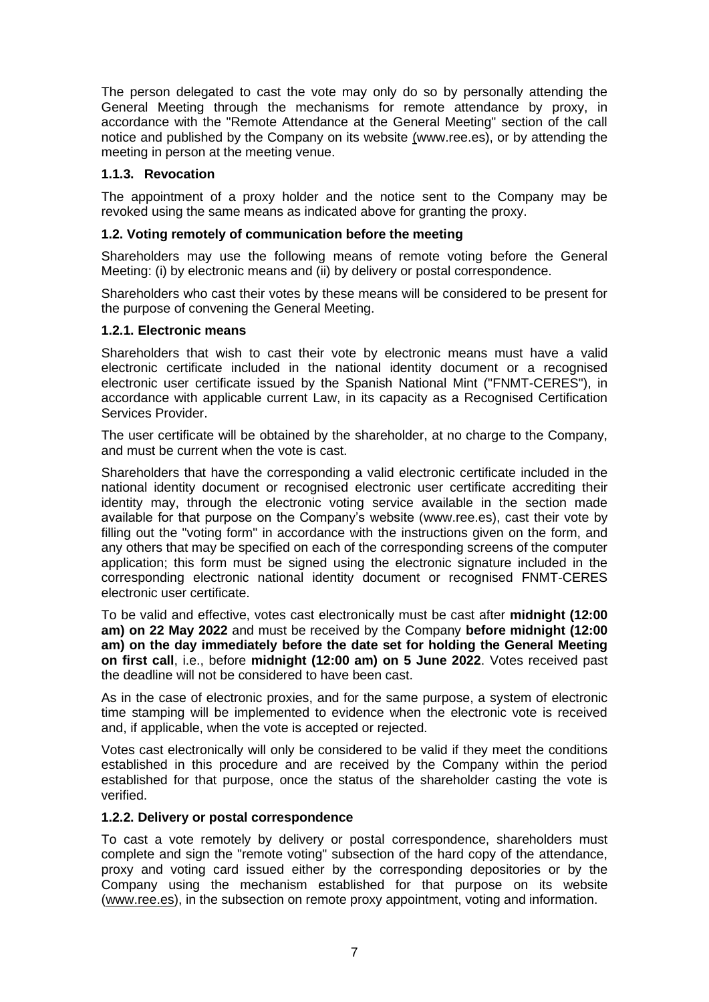The person delegated to cast the vote may only do so by personally attending the General Meeting through the mechanisms for remote attendance by proxy, in accordance with the "Remote Attendance at the General Meeting" section of the call notice and published by the Company on its website [\(w](http://www.ree.es/)ww.ree.es), or by attending the meeting in person at the meeting venue.

## **1.1.3. Revocation**

The appointment of a proxy holder and the notice sent to the Company may be revoked using the same means as indicated above for granting the proxy.

## **1.2. Voting remotely of communication before the meeting**

Shareholders may use the following means of remote voting before the General Meeting: (i) by electronic means and (ii) by delivery or postal correspondence.

Shareholders who cast their votes by these means will be considered to be present for the purpose of convening the General Meeting.

## **1.2.1. Electronic means**

Shareholders that wish to cast their vote by electronic means must have a valid electronic certificate included in the national identity document or a recognised electronic user certificate issued by the Spanish National Mint ("FNMT-CERES"), in accordance with applicable current Law, in its capacity as a Recognised Certification Services Provider.

The user certificate will be obtained by the shareholder, at no charge to the Company, and must be current when the vote is cast.

Shareholders that have the corresponding a valid electronic certificate included in the national identity document or recognised electronic user certificate accrediting their identity may, through the electronic voting service available in the section made available for that purpose on the Company's website [\(www.ree.es\)](http://www.ree.es/), cast their vote by filling out the "voting form" in accordance with the instructions given on the form, and any others that may be specified on each of the corresponding screens of the computer application; this form must be signed using the electronic signature included in the corresponding electronic national identity document or recognised FNMT-CERES electronic user certificate.

To be valid and effective, votes cast electronically must be cast after **midnight (12:00 am) on 22 May 2022** and must be received by the Company **before midnight (12:00 am) on the day immediately before the date set for holding the General Meeting on first call**, i.e., before **midnight (12:00 am) on 5 June 2022**. Votes received past the deadline will not be considered to have been cast.

As in the case of electronic proxies, and for the same purpose, a system of electronic time stamping will be implemented to evidence when the electronic vote is received and, if applicable, when the vote is accepted or rejected.

Votes cast electronically will only be considered to be valid if they meet the conditions established in this procedure and are received by the Company within the period established for that purpose, once the status of the shareholder casting the vote is verified.

## **1.2.2. Delivery or postal correspondence**

To cast a vote remotely by delivery or postal correspondence, shareholders must complete and sign the "remote voting" subsection of the hard copy of the attendance, proxy and voting card issued either by the corresponding depositories or by the Company using the mechanism established for that purpose on its website [\(www.ree.es\)](http://www.ree.es/), in the subsection on remote proxy appointment, voting and information.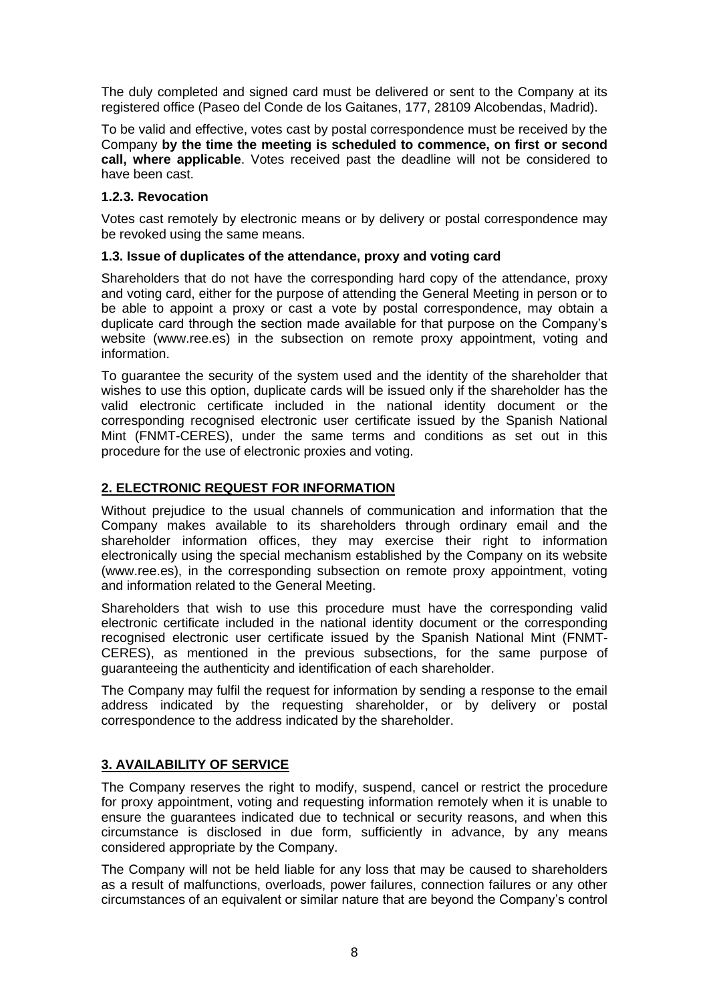The duly completed and signed card must be delivered or sent to the Company at its registered office (Paseo del Conde de los Gaitanes, 177, 28109 Alcobendas, Madrid).

To be valid and effective, votes cast by postal correspondence must be received by the Company **by the time the meeting is scheduled to commence, on first or second call, where applicable**. Votes received past the deadline will not be considered to have been cast.

## **1.2.3. Revocation**

Votes cast remotely by electronic means or by delivery or postal correspondence may be revoked using the same means.

# **1.3. Issue of duplicates of the attendance, proxy and voting card**

Shareholders that do not have the corresponding hard copy of the attendance, proxy and voting card, either for the purpose of attending the General Meeting in person or to be able to appoint a proxy or cast a vote by postal correspondence, may obtain a duplicate card through the section made available for that purpose on the Company's website [\(www.ree.es\)](http://www.ree.es/) in the subsection on remote proxy appointment, voting and information.

To guarantee the security of the system used and the identity of the shareholder that wishes to use this option, duplicate cards will be issued only if the shareholder has the valid electronic certificate included in the national identity document or the corresponding recognised electronic user certificate issued by the Spanish National Mint (FNMT-CERES), under the same terms and conditions as set out in this procedure for the use of electronic proxies and voting.

# **2. ELECTRONIC REQUEST FOR INFORMATION**

Without prejudice to the usual channels of communication and information that the Company makes available to its shareholders through ordinary email and the shareholder information offices, they may exercise their right to information electronically using the special mechanism established by the Company on its website (www.ree.es), in the corresponding subsection on remote proxy appointment, voting and information related to the General Meeting.

Shareholders that wish to use this procedure must have the corresponding valid electronic certificate included in the national identity document or the corresponding recognised electronic user certificate issued by the Spanish National Mint (FNMT-CERES), as mentioned in the previous subsections, for the same purpose of guaranteeing the authenticity and identification of each shareholder.

The Company may fulfil the request for information by sending a response to the email address indicated by the requesting shareholder, or by delivery or postal correspondence to the address indicated by the shareholder.

# **3. AVAILABILITY OF SERVICE**

The Company reserves the right to modify, suspend, cancel or restrict the procedure for proxy appointment, voting and requesting information remotely when it is unable to ensure the guarantees indicated due to technical or security reasons, and when this circumstance is disclosed in due form, sufficiently in advance, by any means considered appropriate by the Company.

The Company will not be held liable for any loss that may be caused to shareholders as a result of malfunctions, overloads, power failures, connection failures or any other circumstances of an equivalent or similar nature that are beyond the Company's control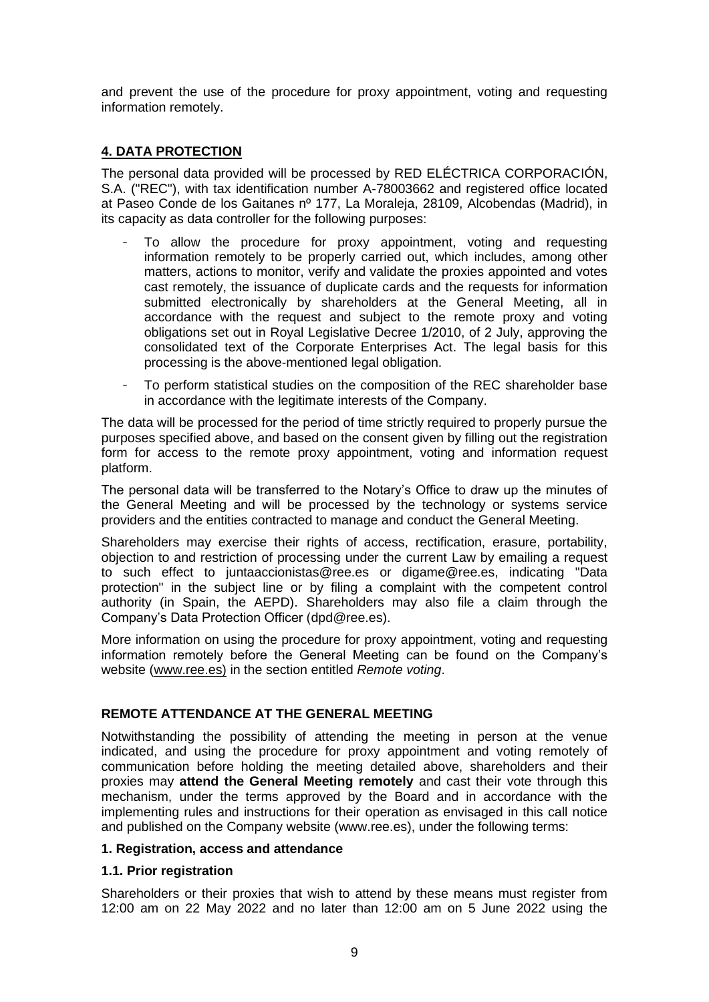and prevent the use of the procedure for proxy appointment, voting and requesting information remotely.

# **4. DATA PROTECTION**

The personal data provided will be processed by RED ELÉCTRICA CORPORACIÓN, S.A. ("REC"), with tax identification number A-78003662 and registered office located at Paseo Conde de los Gaitanes nº 177, La Moraleja, 28109, Alcobendas (Madrid), in its capacity as data controller for the following purposes:

- To allow the procedure for proxy appointment, voting and requesting information remotely to be properly carried out, which includes, among other matters, actions to monitor, verify and validate the proxies appointed and votes cast remotely, the issuance of duplicate cards and the requests for information submitted electronically by shareholders at the General Meeting, all in accordance with the request and subject to the remote proxy and voting obligations set out in Royal Legislative Decree 1/2010, of 2 July, approving the consolidated text of the Corporate Enterprises Act. The legal basis for this processing is the above-mentioned legal obligation.
- To perform statistical studies on the composition of the REC shareholder base in accordance with the legitimate interests of the Company.

The data will be processed for the period of time strictly required to properly pursue the purposes specified above, and based on the consent given by filling out the registration form for access to the remote proxy appointment, voting and information request platform.

The personal data will be transferred to the Notary's Office to draw up the minutes of the General Meeting and will be processed by the technology or systems service providers and the entities contracted to manage and conduct the General Meeting.

Shareholders may exercise their rights of access, rectification, erasure, portability, objection to and restriction of processing under the current Law by emailing a request to such effect to [juntaaccionistas@ree.es](mailto:juntaaccionistas@ree.es) or [digame@ree.es,](mailto:digame@ree.es) indicating "Data protection" in the subject line or by filing a complaint with the competent control authority (in Spain, the AEPD). Shareholders may also file a claim through the Company's Data Protection Officer [\(dpd@ree.es\)](mailto:dpd@ree.es).

More information on using the procedure for proxy appointment, voting and requesting information remotely before the General Meeting can be found on the Company's website [\(www.ree.es\)](http://www.ree.es/) in the section entitled *Remote voting*.

## **REMOTE ATTENDANCE AT THE GENERAL MEETING**

Notwithstanding the possibility of attending the meeting in person at the venue indicated, and using the procedure for proxy appointment and voting remotely of communication before holding the meeting detailed above, shareholders and their proxies may **attend the General Meeting remotely** and cast their vote through this mechanism, under the terms approved by the Board and in accordance with the implementing rules and instructions for their operation as envisaged in this call notice and published on the Company website [\(www.ree.es\)](http://www.ree.es/), under the following terms:

## **1. Registration, access and attendance**

## **1.1. Prior registration**

Shareholders or their proxies that wish to attend by these means must register from 12:00 am on 22 May 2022 and no later than 12:00 am on 5 June 2022 using the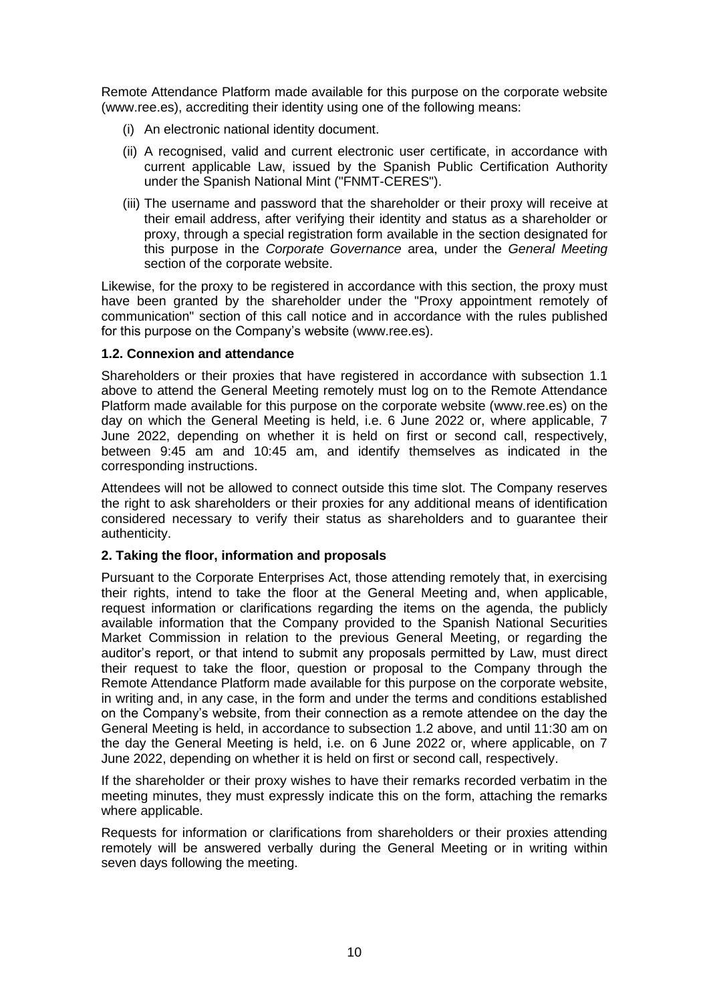Remote Attendance Platform made available for this purpose on the corporate website [\(www.ree.es\)](http://www.ree.es/), accrediting their identity using one of the following means:

- (i) An electronic national identity document.
- (ii) A recognised, valid and current electronic user certificate, in accordance with current applicable Law, issued by the Spanish Public Certification Authority under the Spanish National Mint ("FNMT-CERES").
- (iii) The username and password that the shareholder or their proxy will receive at their email address, after verifying their identity and status as a shareholder or proxy, through a special registration form available in the section designated for this purpose in the *Corporate Governance* area, under the *General Meeting* section of the corporate website.

Likewise, for the proxy to be registered in accordance with this section, the proxy must have been granted by the shareholder under the "Proxy appointment remotely of communication" section of this call notice and in accordance with the rules published for this purpose on the Company's website [\(www.ree.es\)](file:///C:/Users/jdecarlos/AppData/Local/Microsoft/Windows/INetCache/Content.Outlook/MI3T4GWJ/www.ree.es).

# **1.2. Connexion and attendance**

Shareholders or their proxies that have registered in accordance with subsection 1.1 above to attend the General Meeting remotely must log on to the Remote Attendance Platform made available for this purpose on the corporate website [\(www.ree.es\)](http://www.ree.es/) on the day on which the General Meeting is held, i.e. 6 June 2022 or, where applicable, 7 June 2022, depending on whether it is held on first or second call, respectively, between 9:45 am and 10:45 am, and identify themselves as indicated in the corresponding instructions.

Attendees will not be allowed to connect outside this time slot. The Company reserves the right to ask shareholders or their proxies for any additional means of identification considered necessary to verify their status as shareholders and to guarantee their authenticity.

# **2. Taking the floor, information and proposals**

Pursuant to the Corporate Enterprises Act, those attending remotely that, in exercising their rights, intend to take the floor at the General Meeting and, when applicable, request information or clarifications regarding the items on the agenda, the publicly available information that the Company provided to the Spanish National Securities Market Commission in relation to the previous General Meeting, or regarding the auditor's report, or that intend to submit any proposals permitted by Law, must direct their request to take the floor, question or proposal to the Company through the Remote Attendance Platform made available for this purpose on the corporate website, in writing and, in any case, in the form and under the terms and conditions established on the Company's website, from their connection as a remote attendee on the day the General Meeting is held, in accordance to subsection 1.2 above, and until 11:30 am on the day the General Meeting is held, i.e. on 6 June 2022 or, where applicable, on 7 June 2022, depending on whether it is held on first or second call, respectively.

If the shareholder or their proxy wishes to have their remarks recorded verbatim in the meeting minutes, they must expressly indicate this on the form, attaching the remarks where applicable.

Requests for information or clarifications from shareholders or their proxies attending remotely will be answered verbally during the General Meeting or in writing within seven days following the meeting.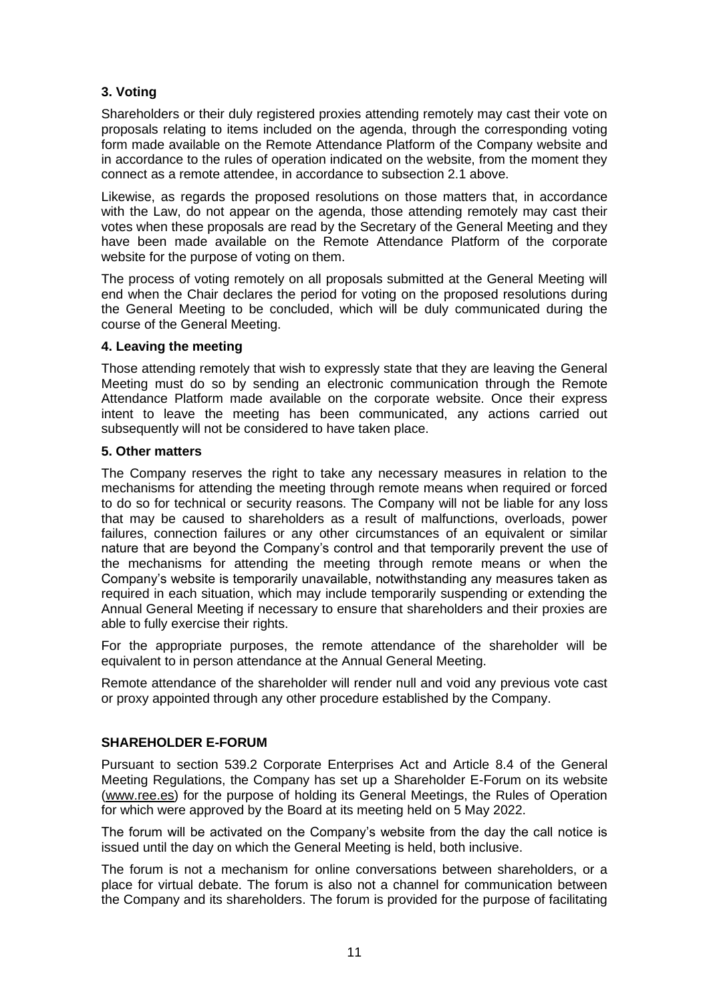# **3. Voting**

Shareholders or their duly registered proxies attending remotely may cast their vote on proposals relating to items included on the agenda, through the corresponding voting form made available on the Remote Attendance Platform of the Company website and in accordance to the rules of operation indicated on the website, from the moment they connect as a remote attendee, in accordance to subsection 2.1 above.

Likewise, as regards the proposed resolutions on those matters that, in accordance with the Law, do not appear on the agenda, those attending remotely may cast their votes when these proposals are read by the Secretary of the General Meeting and they have been made available on the Remote Attendance Platform of the corporate website for the purpose of voting on them.

The process of voting remotely on all proposals submitted at the General Meeting will end when the Chair declares the period for voting on the proposed resolutions during the General Meeting to be concluded, which will be duly communicated during the course of the General Meeting.

## **4. Leaving the meeting**

Those attending remotely that wish to expressly state that they are leaving the General Meeting must do so by sending an electronic communication through the Remote Attendance Platform made available on the corporate website. Once their express intent to leave the meeting has been communicated, any actions carried out subsequently will not be considered to have taken place.

## **5. Other matters**

The Company reserves the right to take any necessary measures in relation to the mechanisms for attending the meeting through remote means when required or forced to do so for technical or security reasons. The Company will not be liable for any loss that may be caused to shareholders as a result of malfunctions, overloads, power failures, connection failures or any other circumstances of an equivalent or similar nature that are beyond the Company's control and that temporarily prevent the use of the mechanisms for attending the meeting through remote means or when the Company's website is temporarily unavailable, notwithstanding any measures taken as required in each situation, which may include temporarily suspending or extending the Annual General Meeting if necessary to ensure that shareholders and their proxies are able to fully exercise their rights.

For the appropriate purposes, the remote attendance of the shareholder will be equivalent to in person attendance at the Annual General Meeting.

Remote attendance of the shareholder will render null and void any previous vote cast or proxy appointed through any other procedure established by the Company.

## **SHAREHOLDER E-FORUM**

Pursuant to section 539.2 Corporate Enterprises Act and Article 8.4 of the General Meeting Regulations, the Company has set up a Shareholder E-Forum on its website [\(www.ree.es\)](http://www.ree.es/) for the purpose of holding its General Meetings, the Rules of Operation for which were approved by the Board at its meeting held on 5 May 2022.

The forum will be activated on the Company's website from the day the call notice is issued until the day on which the General Meeting is held, both inclusive.

The forum is not a mechanism for online conversations between shareholders, or a place for virtual debate. The forum is also not a channel for communication between the Company and its shareholders. The forum is provided for the purpose of facilitating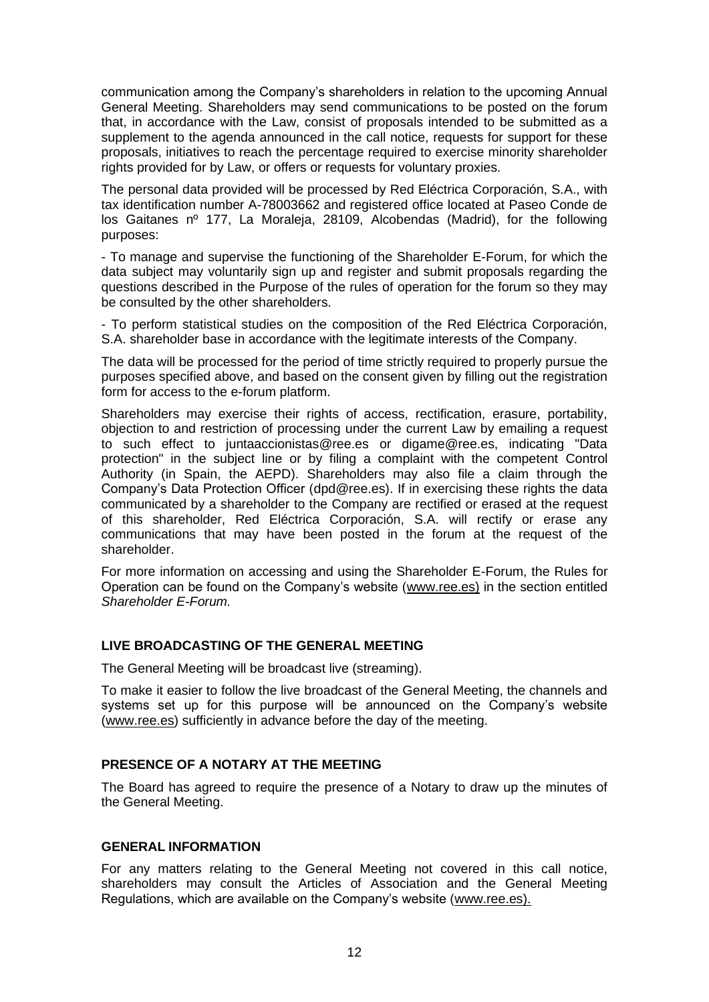communication among the Company's shareholders in relation to the upcoming Annual General Meeting. Shareholders may send communications to be posted on the forum that, in accordance with the Law, consist of proposals intended to be submitted as a supplement to the agenda announced in the call notice, requests for support for these proposals, initiatives to reach the percentage required to exercise minority shareholder rights provided for by Law, or offers or requests for voluntary proxies.

The personal data provided will be processed by Red Eléctrica Corporación, S.A., with tax identification number A-78003662 and registered office located at Paseo Conde de los Gaitanes nº 177, La Moraleja, 28109, Alcobendas (Madrid), for the following purposes:

- To manage and supervise the functioning of the Shareholder E-Forum, for which the data subject may voluntarily sign up and register and submit proposals regarding the questions described in the Purpose of the rules of operation for the forum so they may be consulted by the other shareholders.

- To perform statistical studies on the composition of the Red Eléctrica Corporación, S.A. shareholder base in accordance with the legitimate interests of the Company.

The data will be processed for the period of time strictly required to properly pursue the purposes specified above, and based on the consent given by filling out the registration form for access to the e-forum platform.

Shareholders may exercise their rights of access, rectification, erasure, portability, objection to and restriction of processing under the current Law by emailing a request to such effect to juntaaccionistas@ree.es or digame@ree.es, indicating "Data protection" in the subject line or by filing a complaint with the competent Control Authority (in Spain, the AEPD). Shareholders may also file a claim through the Company's Data Protection Officer [\(dpd@ree.es\)](mailto:dpd@ree.es). If in exercising these rights the data communicated by a shareholder to the Company are rectified or erased at the request of this shareholder, Red Eléctrica Corporación, S.A. will rectify or erase any communications that may have been posted in the forum at the request of the shareholder.

For more information on accessing and using the Shareholder E-Forum, the Rules for Operation can be found on the Company's website [\(www.ree.es\)](http://www.ree.es/) in the section entitled *Shareholder E-Forum.*

# **LIVE BROADCASTING OF THE GENERAL MEETING**

The General Meeting will be broadcast live (streaming).

To make it easier to follow the live broadcast of the General Meeting, the channels and systems set up for this purpose will be announced on the Company's website [\(www.ree.es\)](http://www.ree.es/) sufficiently in advance before the day of the meeting.

## **PRESENCE OF A NOTARY AT THE MEETING**

The Board has agreed to require the presence of a Notary to draw up the minutes of the General Meeting.

## **GENERAL INFORMATION**

For any matters relating to the General Meeting not covered in this call notice, shareholders may consult the Articles of Association and the General Meeting Regulations, which are available on the Company's website [\(www.ree.es\)](http://www.ree.es/).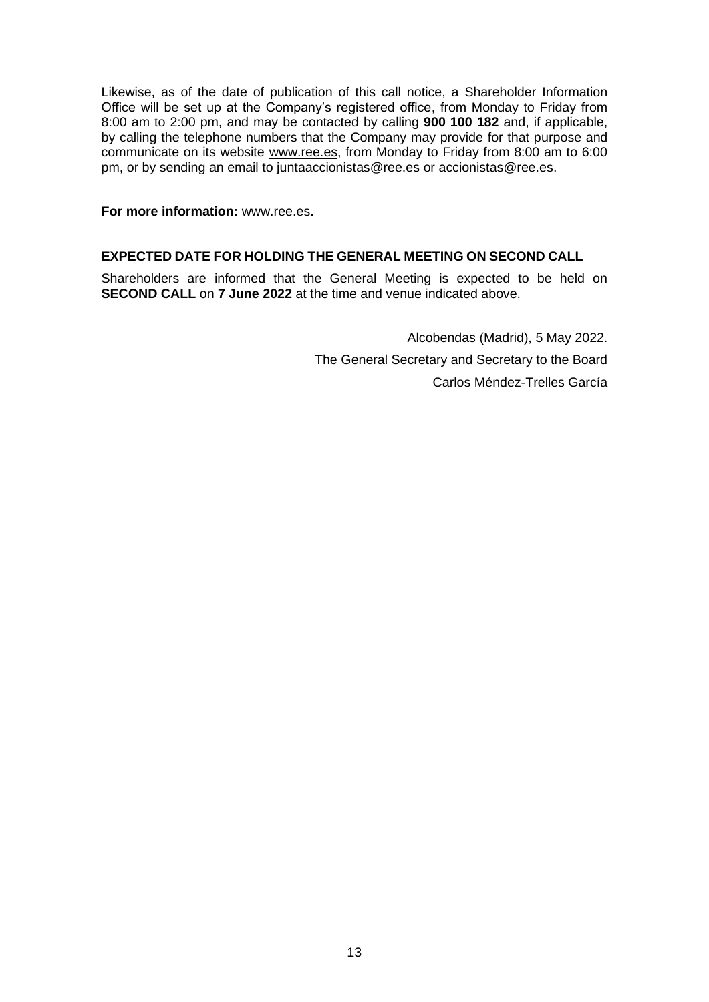Likewise, as of the date of publication of this call notice, a Shareholder Information Office will be set up at the Company's registered office, from Monday to Friday from 8:00 am to 2:00 pm, and may be contacted by calling **900 100 182** and, if applicable, by calling the telephone numbers that the Company may provide for that purpose and communicate on its website [www.ree.es,](http://www.ree.es/) from Monday to Friday from 8:00 am to 6:00 pm, or by sending an email to [juntaaccionistas@ree.es](mailto:juntaaccionistas@ree.es) or [accionistas@ree.es.](mailto:accionistas@ree.es)

#### **For more information:** [www.ree.es](http://www.ree.es/)**.**

## **EXPECTED DATE FOR HOLDING THE GENERAL MEETING ON SECOND CALL**

Shareholders are informed that the General Meeting is expected to be held on **SECOND CALL** on **7 June 2022** at the time and venue indicated above.

> Alcobendas (Madrid), 5 May 2022. The General Secretary and Secretary to the Board Carlos Méndez-Trelles García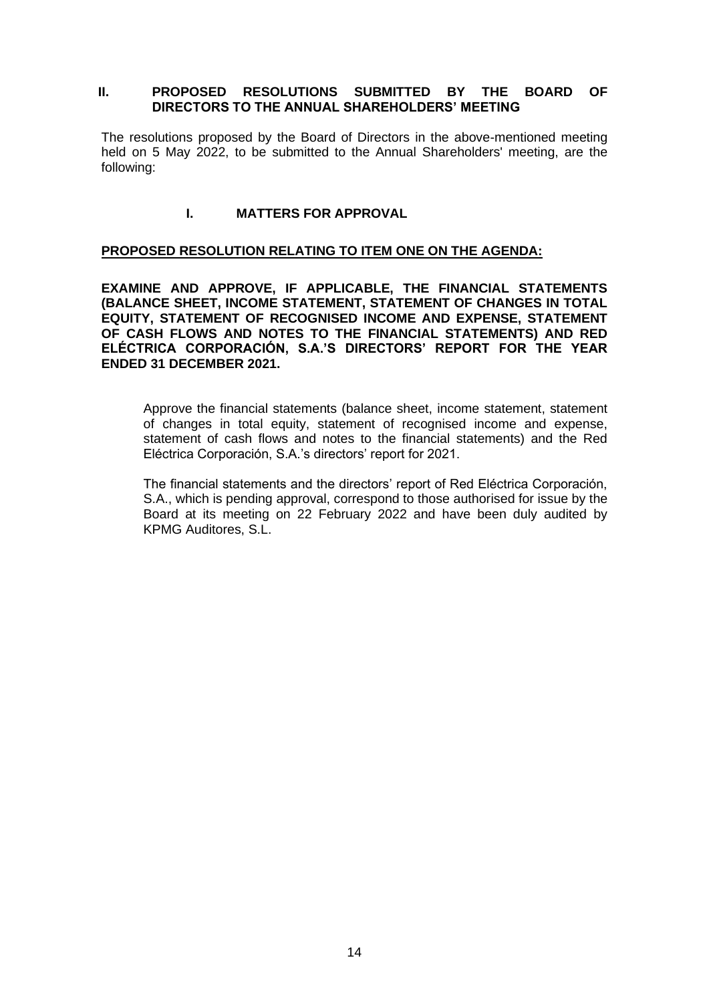#### **II. PROPOSED RESOLUTIONS SUBMITTED BY THE BOARD OF DIRECTORS TO THE ANNUAL SHAREHOLDERS' MEETING**

The resolutions proposed by the Board of Directors in the above-mentioned meeting held on 5 May 2022, to be submitted to the Annual Shareholders' meeting, are the following:

## **I. MATTERS FOR APPROVAL**

#### **PROPOSED RESOLUTION RELATING TO ITEM ONE ON THE AGENDA:**

**EXAMINE AND APPROVE, IF APPLICABLE, THE FINANCIAL STATEMENTS (BALANCE SHEET, INCOME STATEMENT, STATEMENT OF CHANGES IN TOTAL EQUITY, STATEMENT OF RECOGNISED INCOME AND EXPENSE, STATEMENT OF CASH FLOWS AND NOTES TO THE FINANCIAL STATEMENTS) AND RED ELÉCTRICA CORPORACIÓN, S.A.'S DIRECTORS' REPORT FOR THE YEAR ENDED 31 DECEMBER 2021.** 

Approve the financial statements (balance sheet, income statement, statement of changes in total equity, statement of recognised income and expense, statement of cash flows and notes to the financial statements) and the Red Eléctrica Corporación, S.A.'s directors' report for 2021.

The financial statements and the directors' report of Red Eléctrica Corporación, S.A., which is pending approval, correspond to those authorised for issue by the Board at its meeting on 22 February 2022 and have been duly audited by KPMG Auditores, S.L.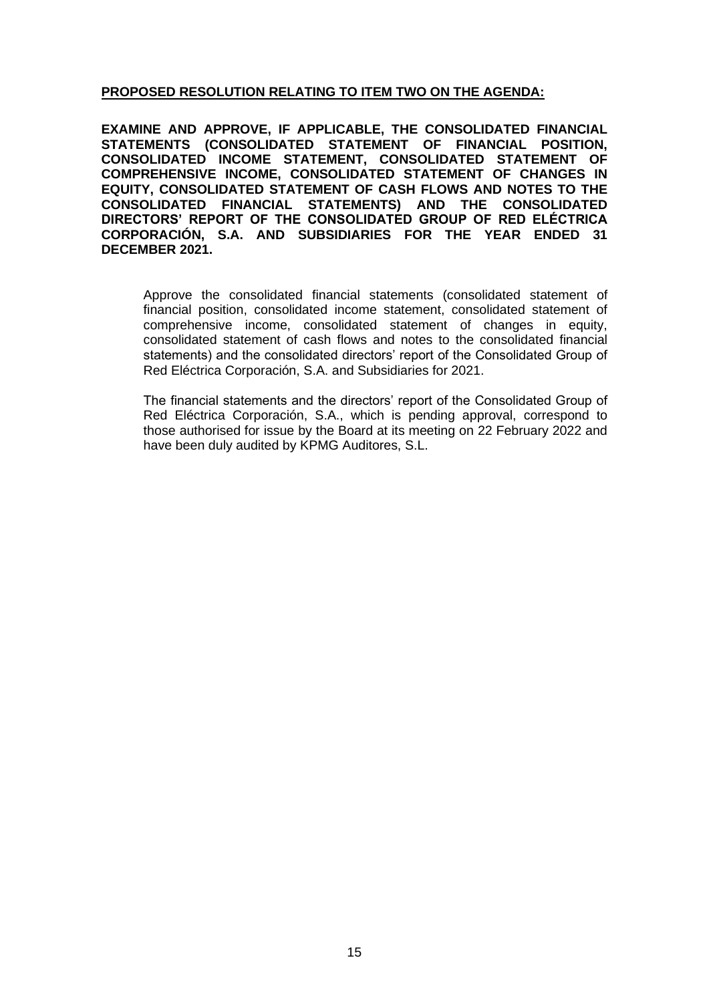## **PROPOSED RESOLUTION RELATING TO ITEM TWO ON THE AGENDA:**

**EXAMINE AND APPROVE, IF APPLICABLE, THE CONSOLIDATED FINANCIAL STATEMENTS (CONSOLIDATED STATEMENT OF FINANCIAL POSITION, CONSOLIDATED INCOME STATEMENT, CONSOLIDATED STATEMENT OF COMPREHENSIVE INCOME, CONSOLIDATED STATEMENT OF CHANGES IN EQUITY, CONSOLIDATED STATEMENT OF CASH FLOWS AND NOTES TO THE CONSOLIDATED FINANCIAL STATEMENTS) AND THE CONSOLIDATED DIRECTORS' REPORT OF THE CONSOLIDATED GROUP OF RED ELÉCTRICA CORPORACIÓN, S.A. AND SUBSIDIARIES FOR THE YEAR ENDED 31 DECEMBER 2021.** 

Approve the consolidated financial statements (consolidated statement of financial position, consolidated income statement, consolidated statement of comprehensive income, consolidated statement of changes in equity, consolidated statement of cash flows and notes to the consolidated financial statements) and the consolidated directors' report of the Consolidated Group of Red Eléctrica Corporación, S.A. and Subsidiaries for 2021.

The financial statements and the directors' report of the Consolidated Group of Red Eléctrica Corporación, S.A., which is pending approval, correspond to those authorised for issue by the Board at its meeting on 22 February 2022 and have been duly audited by KPMG Auditores, S.L.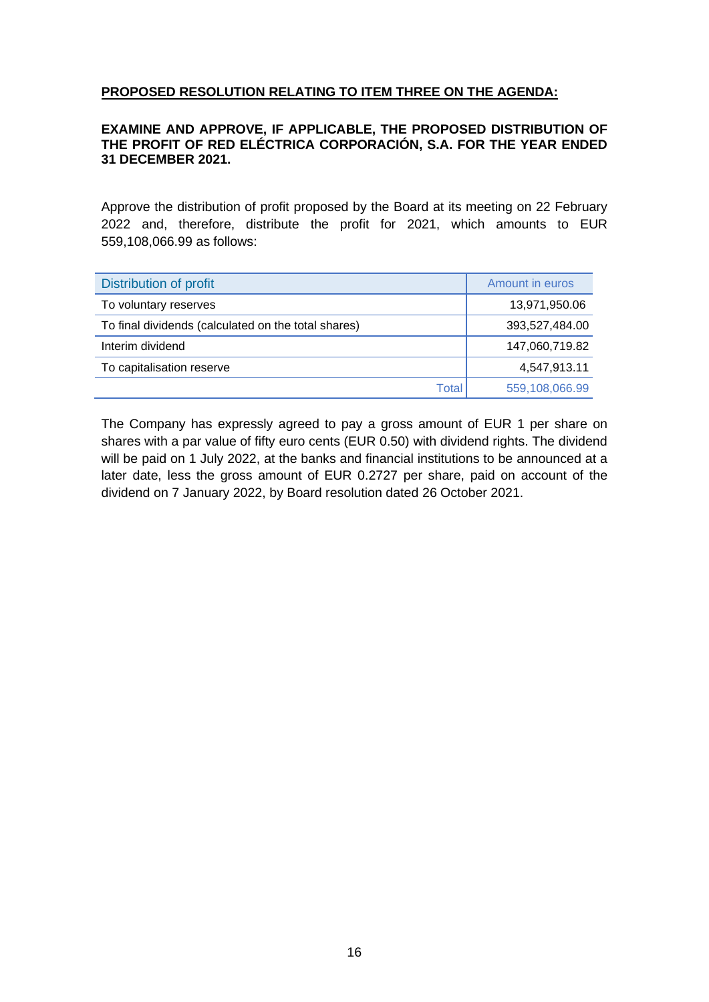# **PROPOSED RESOLUTION RELATING TO ITEM THREE ON THE AGENDA:**

### **EXAMINE AND APPROVE, IF APPLICABLE, THE PROPOSED DISTRIBUTION OF THE PROFIT OF RED ELÉCTRICA CORPORACIÓN, S.A. FOR THE YEAR ENDED 31 DECEMBER 2021.**

Approve the distribution of profit proposed by the Board at its meeting on 22 February 2022 and, therefore, distribute the profit for 2021, which amounts to EUR 559,108,066.99 as follows:

| Distribution of profit                              | Amount in euros |
|-----------------------------------------------------|-----------------|
| To voluntary reserves                               | 13,971,950.06   |
| To final dividends (calculated on the total shares) | 393,527,484.00  |
| Interim dividend                                    | 147,060,719.82  |
| To capitalisation reserve                           | 4,547,913.11    |
| Tota                                                | 559,108,066.99  |

The Company has expressly agreed to pay a gross amount of EUR 1 per share on shares with a par value of fifty euro cents (EUR 0.50) with dividend rights. The dividend will be paid on 1 July 2022, at the banks and financial institutions to be announced at a later date, less the gross amount of EUR 0.2727 per share, paid on account of the dividend on 7 January 2022, by Board resolution dated 26 October 2021.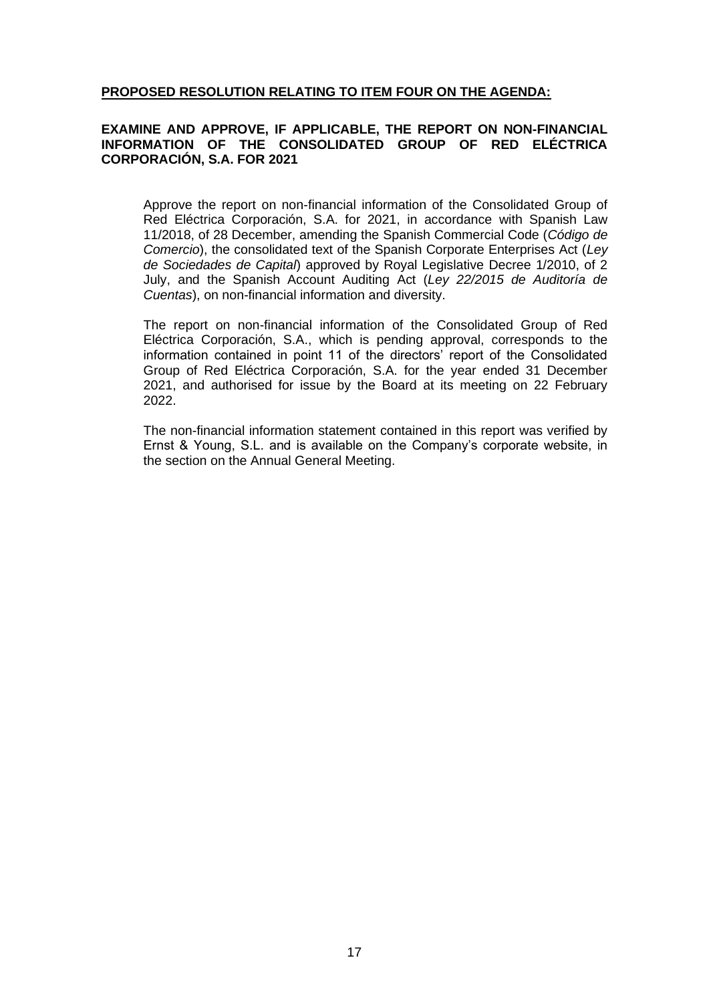## **PROPOSED RESOLUTION RELATING TO ITEM FOUR ON THE AGENDA:**

#### **EXAMINE AND APPROVE, IF APPLICABLE, THE REPORT ON NON-FINANCIAL INFORMATION OF THE CONSOLIDATED GROUP OF RED ELÉCTRICA CORPORACIÓN, S.A. FOR 2021**

Approve the report on non-financial information of the Consolidated Group of Red Eléctrica Corporación, S.A. for 2021, in accordance with Spanish Law 11/2018, of 28 December, amending the Spanish Commercial Code (*Código de Comercio*), the consolidated text of the Spanish Corporate Enterprises Act (*Ley de Sociedades de Capital*) approved by Royal Legislative Decree 1/2010, of 2 July, and the Spanish Account Auditing Act (*Ley 22/2015 de Auditoría de Cuentas*), on non-financial information and diversity.

The report on non-financial information of the Consolidated Group of Red Eléctrica Corporación, S.A., which is pending approval, corresponds to the information contained in point 11 of the directors' report of the Consolidated Group of Red Eléctrica Corporación, S.A. for the year ended 31 December 2021, and authorised for issue by the Board at its meeting on 22 February 2022.

The non-financial information statement contained in this report was verified by Ernst & Young, S.L. and is available on the Company's corporate website, in the section on the Annual General Meeting.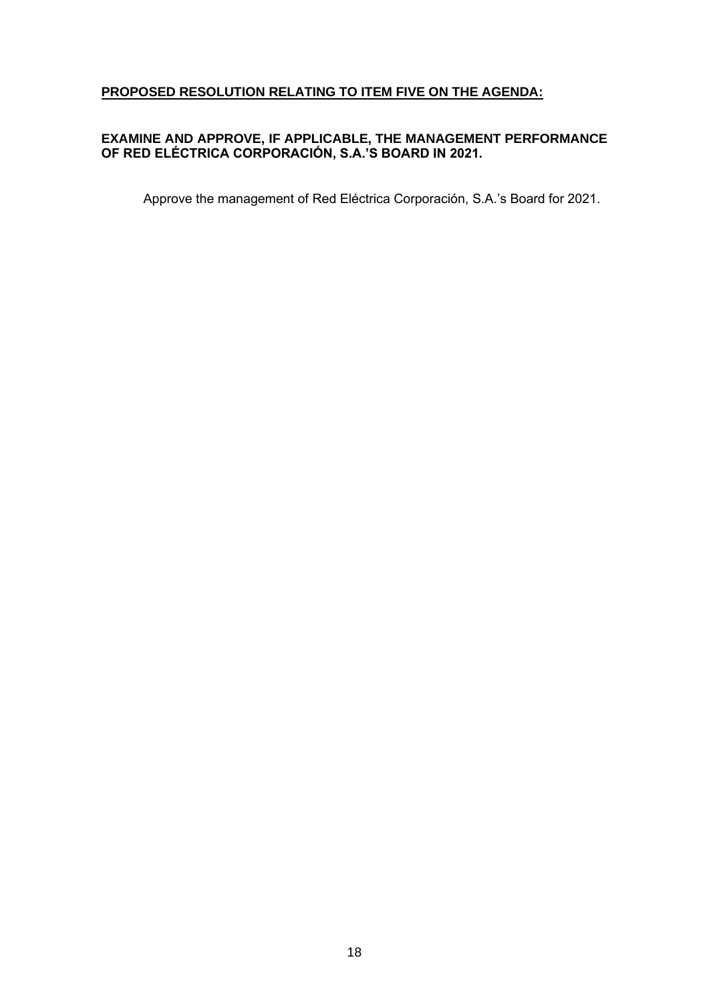# **PROPOSED RESOLUTION RELATING TO ITEM FIVE ON THE AGENDA:**

## **EXAMINE AND APPROVE, IF APPLICABLE, THE MANAGEMENT PERFORMANCE OF RED ELÉCTRICA CORPORACIÓN, S.A.'S BOARD IN 2021.**

Approve the management of Red Eléctrica Corporación, S.A.'s Board for 2021.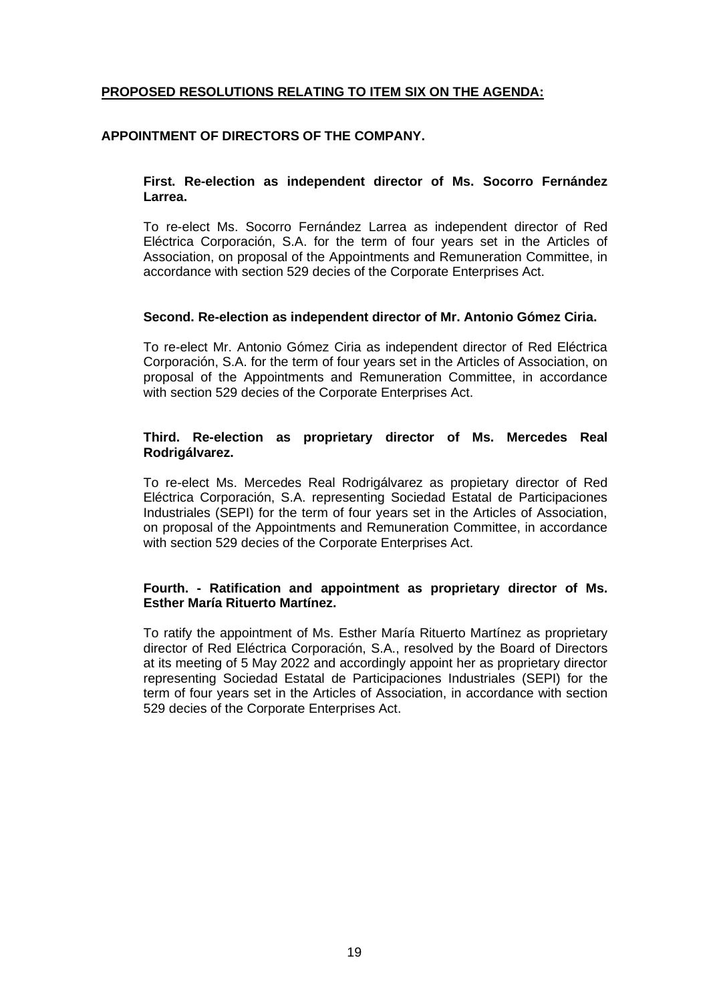# **PROPOSED RESOLUTIONS RELATING TO ITEM SIX ON THE AGENDA:**

#### **APPOINTMENT OF DIRECTORS OF THE COMPANY.**

#### **First. Re-election as independent director of Ms. Socorro Fernández Larrea.**

To re-elect Ms. Socorro Fernández Larrea as independent director of Red Eléctrica Corporación, S.A. for the term of four years set in the Articles of Association, on proposal of the Appointments and Remuneration Committee, in accordance with section 529 decies of the Corporate Enterprises Act.

#### **Second. Re-election as independent director of Mr. Antonio Gómez Ciria.**

To re-elect Mr. Antonio Gómez Ciria as independent director of Red Eléctrica Corporación, S.A. for the term of four years set in the Articles of Association, on proposal of the Appointments and Remuneration Committee, in accordance with section 529 decies of the Corporate Enterprises Act.

## **Third. Re-election as proprietary director of Ms. Mercedes Real Rodrigálvarez.**

To re-elect Ms. Mercedes Real Rodrigálvarez as propietary director of Red Eléctrica Corporación, S.A. representing Sociedad Estatal de Participaciones Industriales (SEPI) for the term of four years set in the Articles of Association, on proposal of the Appointments and Remuneration Committee, in accordance with section 529 decies of the Corporate Enterprises Act.

#### **Fourth. - Ratification and appointment as proprietary director of Ms. Esther María Rituerto Martínez.**

To ratify the appointment of Ms. Esther María Rituerto Martínez as proprietary director of Red Eléctrica Corporación, S.A., resolved by the Board of Directors at its meeting of 5 May 2022 and accordingly appoint her as proprietary director representing Sociedad Estatal de Participaciones Industriales (SEPI) for the term of four years set in the Articles of Association, in accordance with section 529 decies of the Corporate Enterprises Act.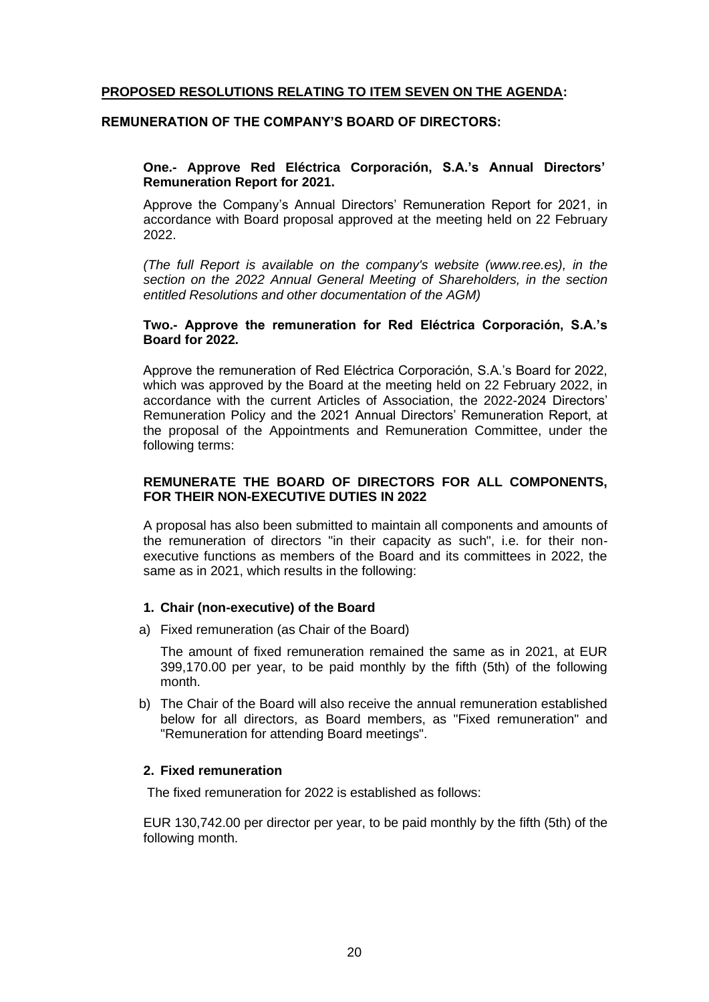## **PROPOSED RESOLUTIONS RELATING TO ITEM SEVEN ON THE AGENDA:**

#### **REMUNERATION OF THE COMPANY'S BOARD OF DIRECTORS:**

#### **One.- Approve Red Eléctrica Corporación, S.A.'s Annual Directors' Remuneration Report for 2021.**

Approve the Company's Annual Directors' Remuneration Report for 2021, in accordance with Board proposal approved at the meeting held on 22 February 2022.

*(The full Report is available on the company's website (www.ree.es), in the section on the 2022 Annual General Meeting of Shareholders, in the section entitled Resolutions and other documentation of the AGM)*

#### **Two.- Approve the remuneration for Red Eléctrica Corporación, S.A.'s Board for 2022.**

Approve the remuneration of Red Eléctrica Corporación, S.A.'s Board for 2022, which was approved by the Board at the meeting held on 22 February 2022, in accordance with the current Articles of Association, the 2022-2024 Directors' Remuneration Policy and the 2021 Annual Directors' Remuneration Report, at the proposal of the Appointments and Remuneration Committee, under the following terms:

#### **REMUNERATE THE BOARD OF DIRECTORS FOR ALL COMPONENTS, FOR THEIR NON-EXECUTIVE DUTIES IN 2022**

A proposal has also been submitted to maintain all components and amounts of the remuneration of directors "in their capacity as such", i.e. for their nonexecutive functions as members of the Board and its committees in 2022, the same as in 2021, which results in the following:

#### **1. Chair (non-executive) of the Board**

a) Fixed remuneration (as Chair of the Board)

The amount of fixed remuneration remained the same as in 2021, at EUR 399,170.00 per year, to be paid monthly by the fifth (5th) of the following month.

b) The Chair of the Board will also receive the annual remuneration established below for all directors, as Board members, as "Fixed remuneration" and "Remuneration for attending Board meetings".

## **2. Fixed remuneration**

The fixed remuneration for 2022 is established as follows:

EUR 130,742.00 per director per year, to be paid monthly by the fifth (5th) of the following month.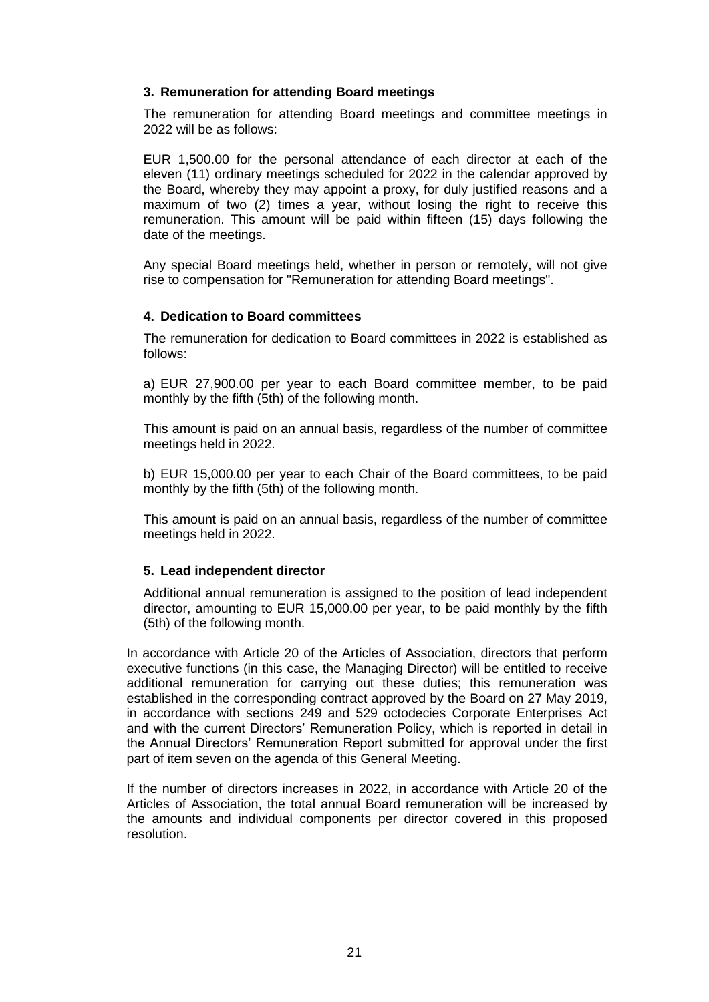## **3. Remuneration for attending Board meetings**

The remuneration for attending Board meetings and committee meetings in 2022 will be as follows:

EUR 1,500.00 for the personal attendance of each director at each of the eleven (11) ordinary meetings scheduled for 2022 in the calendar approved by the Board, whereby they may appoint a proxy, for duly justified reasons and a maximum of two (2) times a year, without losing the right to receive this remuneration. This amount will be paid within fifteen (15) days following the date of the meetings.

Any special Board meetings held, whether in person or remotely, will not give rise to compensation for "Remuneration for attending Board meetings".

## **4. Dedication to Board committees**

The remuneration for dedication to Board committees in 2022 is established as follows:

a) EUR 27,900.00 per year to each Board committee member, to be paid monthly by the fifth (5th) of the following month.

This amount is paid on an annual basis, regardless of the number of committee meetings held in 2022.

b) EUR 15,000.00 per year to each Chair of the Board committees, to be paid monthly by the fifth (5th) of the following month.

This amount is paid on an annual basis, regardless of the number of committee meetings held in 2022.

## **5. Lead independent director**

Additional annual remuneration is assigned to the position of lead independent director, amounting to EUR 15,000.00 per year, to be paid monthly by the fifth (5th) of the following month.

In accordance with Article 20 of the Articles of Association, directors that perform executive functions (in this case, the Managing Director) will be entitled to receive additional remuneration for carrying out these duties; this remuneration was established in the corresponding contract approved by the Board on 27 May 2019, in accordance with sections 249 and 529 octodecies Corporate Enterprises Act and with the current Directors' Remuneration Policy, which is reported in detail in the Annual Directors' Remuneration Report submitted for approval under the first part of item seven on the agenda of this General Meeting.

If the number of directors increases in 2022, in accordance with Article 20 of the Articles of Association, the total annual Board remuneration will be increased by the amounts and individual components per director covered in this proposed resolution.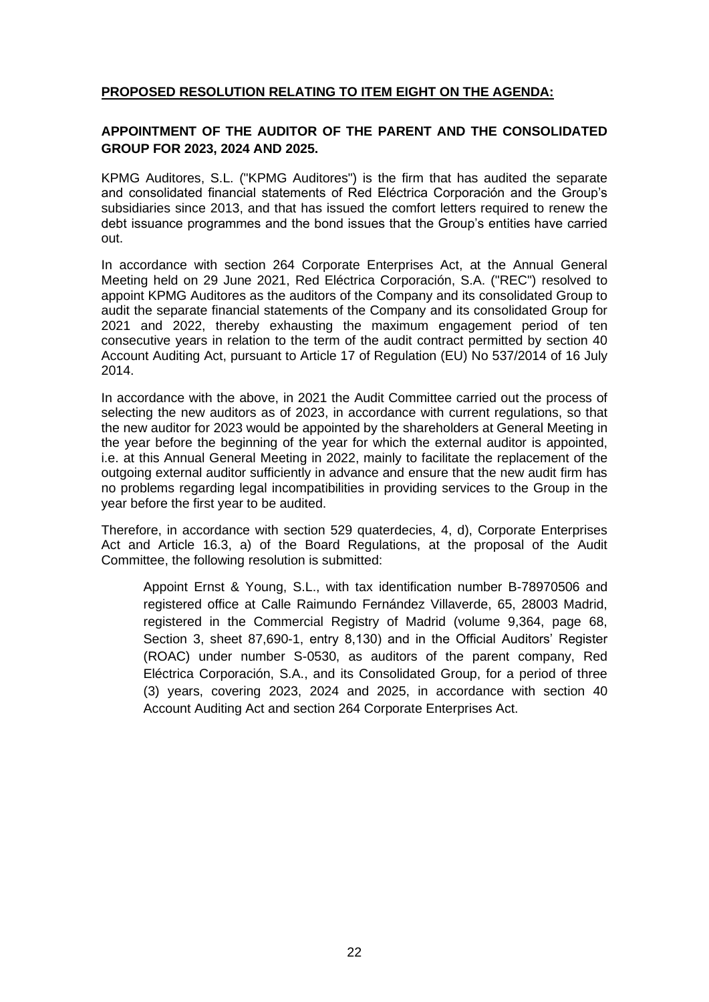# **PROPOSED RESOLUTION RELATING TO ITEM EIGHT ON THE AGENDA:**

## **APPOINTMENT OF THE AUDITOR OF THE PARENT AND THE CONSOLIDATED GROUP FOR 2023, 2024 AND 2025.**

KPMG Auditores, S.L. ("KPMG Auditores") is the firm that has audited the separate and consolidated financial statements of Red Eléctrica Corporación and the Group's subsidiaries since 2013, and that has issued the comfort letters required to renew the debt issuance programmes and the bond issues that the Group's entities have carried out.

In accordance with section 264 Corporate Enterprises Act, at the Annual General Meeting held on 29 June 2021, Red Eléctrica Corporación, S.A. ("REC") resolved to appoint KPMG Auditores as the auditors of the Company and its consolidated Group to audit the separate financial statements of the Company and its consolidated Group for 2021 and 2022, thereby exhausting the maximum engagement period of ten consecutive years in relation to the term of the audit contract permitted by section 40 Account Auditing Act, pursuant to Article 17 of Regulation (EU) No 537/2014 of 16 July 2014.

In accordance with the above, in 2021 the Audit Committee carried out the process of selecting the new auditors as of 2023, in accordance with current regulations, so that the new auditor for 2023 would be appointed by the shareholders at General Meeting in the year before the beginning of the year for which the external auditor is appointed, i.e. at this Annual General Meeting in 2022, mainly to facilitate the replacement of the outgoing external auditor sufficiently in advance and ensure that the new audit firm has no problems regarding legal incompatibilities in providing services to the Group in the year before the first year to be audited.

Therefore, in accordance with section 529 quaterdecies, 4, d), Corporate Enterprises Act and Article 16.3, a) of the Board Regulations, at the proposal of the Audit Committee, the following resolution is submitted:

Appoint Ernst & Young, S.L., with tax identification number B-78970506 and registered office at Calle Raimundo Fernández Villaverde, 65, 28003 Madrid, registered in the Commercial Registry of Madrid (volume 9,364, page 68, Section 3, sheet 87,690-1, entry 8,130) and in the Official Auditors' Register (ROAC) under number S-0530, as auditors of the parent company, Red Eléctrica Corporación, S.A., and its Consolidated Group, for a period of three (3) years, covering 2023, 2024 and 2025, in accordance with section 40 Account Auditing Act and section 264 Corporate Enterprises Act.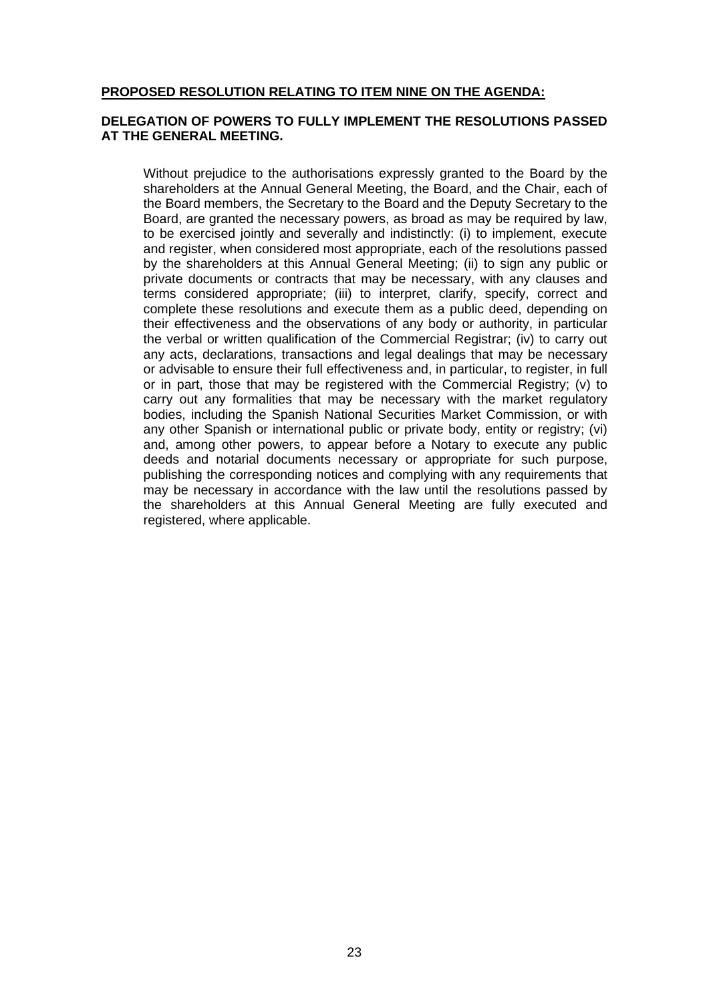#### **PROPOSED RESOLUTION RELATING TO ITEM NINE ON THE AGENDA:**

#### **DELEGATION OF POWERS TO FULLY IMPLEMENT THE RESOLUTIONS PASSED AT THE GENERAL MEETING.**

Without prejudice to the authorisations expressly granted to the Board by the shareholders at the Annual General Meeting, the Board, and the Chair, each of the Board members, the Secretary to the Board and the Deputy Secretary to the Board, are granted the necessary powers, as broad as may be required by law, to be exercised jointly and severally and indistinctly: (i) to implement, execute and register, when considered most appropriate, each of the resolutions passed by the shareholders at this Annual General Meeting; (ii) to sign any public or private documents or contracts that may be necessary, with any clauses and terms considered appropriate; (iii) to interpret, clarify, specify, correct and complete these resolutions and execute them as a public deed, depending on their effectiveness and the observations of any body or authority, in particular the verbal or written qualification of the Commercial Registrar; (iv) to carry out any acts, declarations, transactions and legal dealings that may be necessary or advisable to ensure their full effectiveness and, in particular, to register, in full or in part, those that may be registered with the Commercial Registry; (v) to carry out any formalities that may be necessary with the market regulatory bodies, including the Spanish National Securities Market Commission, or with any other Spanish or international public or private body, entity or registry; (vi) and, among other powers, to appear before a Notary to execute any public deeds and notarial documents necessary or appropriate for such purpose, publishing the corresponding notices and complying with any requirements that may be necessary in accordance with the law until the resolutions passed by the shareholders at this Annual General Meeting are fully executed and registered, where applicable.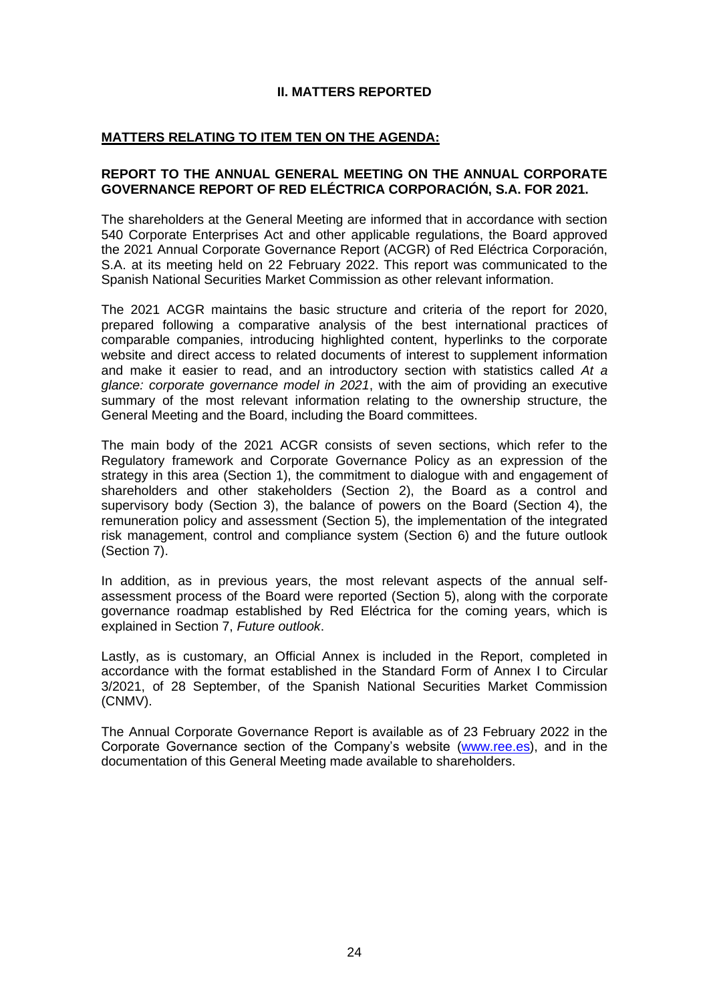## **II. MATTERS REPORTED**

## **MATTERS RELATING TO ITEM TEN ON THE AGENDA:**

#### **REPORT TO THE ANNUAL GENERAL MEETING ON THE ANNUAL CORPORATE GOVERNANCE REPORT OF RED ELÉCTRICA CORPORACIÓN, S.A. FOR 2021.**

The shareholders at the General Meeting are informed that in accordance with section 540 Corporate Enterprises Act and other applicable regulations, the Board approved the 2021 Annual Corporate Governance Report (ACGR) of Red Eléctrica Corporación, S.A. at its meeting held on 22 February 2022. This report was communicated to the Spanish National Securities Market Commission as other relevant information.

The 2021 ACGR maintains the basic structure and criteria of the report for 2020, prepared following a comparative analysis of the best international practices of comparable companies, introducing highlighted content, hyperlinks to the corporate website and direct access to related documents of interest to supplement information and make it easier to read, and an introductory section with statistics called *At a glance: corporate governance model in 2021*, with the aim of providing an executive summary of the most relevant information relating to the ownership structure, the General Meeting and the Board, including the Board committees.

The main body of the 2021 ACGR consists of seven sections, which refer to the Regulatory framework and Corporate Governance Policy as an expression of the strategy in this area (Section 1), the commitment to dialogue with and engagement of shareholders and other stakeholders (Section 2), the Board as a control and supervisory body (Section 3), the balance of powers on the Board (Section 4), the remuneration policy and assessment (Section 5), the implementation of the integrated risk management, control and compliance system (Section 6) and the future outlook (Section 7).

In addition, as in previous years, the most relevant aspects of the annual selfassessment process of the Board were reported (Section 5), along with the corporate governance roadmap established by Red Eléctrica for the coming years, which is explained in Section 7, *Future outlook*.

Lastly, as is customary, an Official Annex is included in the Report, completed in accordance with the format established in the Standard Form of Annex I to Circular 3/2021, of 28 September, of the Spanish National Securities Market Commission (CNMV).

The Annual Corporate Governance Report is available as of 23 February 2022 in the Corporate Governance section of the Company's website [\(www.ree.es\)](http://www.ree.es/), and in the documentation of this General Meeting made available to shareholders.